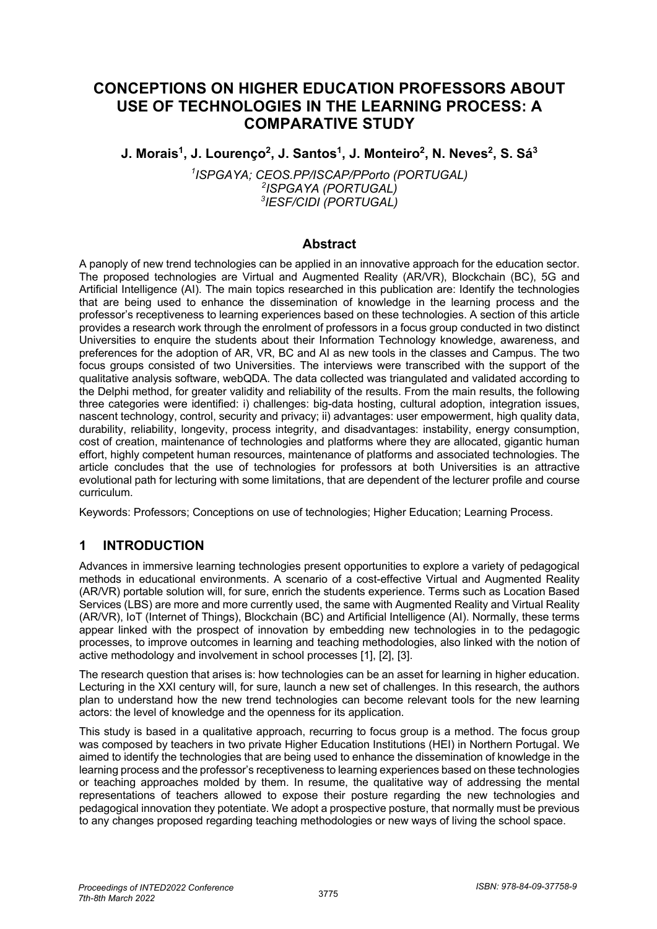# **CONCEPTIONS ON HIGHER EDUCATION PROFESSORS ABOUT USE OF TECHNOLOGIES IN THE LEARNING PROCESS: A COMPARATIVE STUDY**

**J. Morais1, J. Lourenço2, J. Santos1, J. Monteiro2, N. Neves2, S. Sá3**

*1 ISPGAYA; CEOS.PP/ISCAP/PPorto (PORTUGAL) 2 ISPGAYA (PORTUGAL) 3 IESF/CIDI (PORTUGAL)*

#### **Abstract**

A panoply of new trend technologies can be applied in an innovative approach for the education sector. The proposed technologies are Virtual and Augmented Reality (AR/VR), Blockchain (BC), 5G and Artificial Intelligence (AI). The main topics researched in this publication are: Identify the technologies that are being used to enhance the dissemination of knowledge in the learning process and the professor's receptiveness to learning experiences based on these technologies. A section of this article provides a research work through the enrolment of professors in a focus group conducted in two distinct Universities to enquire the students about their Information Technology knowledge, awareness, and preferences for the adoption of AR, VR, BC and AI as new tools in the classes and Campus. The two focus groups consisted of two Universities. The interviews were transcribed with the support of the qualitative analysis software, webQDA. The data collected was triangulated and validated according to the Delphi method, for greater validity and reliability of the results. From the main results, the following three categories were identified: i) challenges: big-data hosting, cultural adoption, integration issues, nascent technology, control, security and privacy; ii) advantages: user empowerment, high quality data, durability, reliability, longevity, process integrity, and disadvantages: instability, energy consumption, cost of creation, maintenance of technologies and platforms where they are allocated, gigantic human effort, highly competent human resources, maintenance of platforms and associated technologies. The article concludes that the use of technologies for professors at both Universities is an attractive evolutional path for lecturing with some limitations, that are dependent of the lecturer profile and course curriculum.

Keywords: Professors; Conceptions on use of technologies; Higher Education; Learning Process.

# **1 INTRODUCTION**

Advances in immersive learning technologies present opportunities to explore a variety of pedagogical methods in educational environments. A scenario of a cost-effective Virtual and Augmented Reality (AR/VR) portable solution will, for sure, enrich the students experience. Terms such as Location Based Services (LBS) are more and more currently used, the same with Augmented Reality and Virtual Reality (AR/VR), IoT (Internet of Things), Blockchain (BC) and Artificial Intelligence (AI). Normally, these terms appear linked with the prospect of innovation by embedding new technologies in to the pedagogic processes, to improve outcomes in learning and teaching methodologies, also linked with the notion of active methodology and involvement in school processes [1], [2], [3].

The research question that arises is: how technologies can be an asset for learning in higher education. Lecturing in the XXI century will, for sure, launch a new set of challenges. In this research, the authors plan to understand how the new trend technologies can become relevant tools for the new learning actors: the level of knowledge and the openness for its application.

This study is based in a qualitative approach, recurring to focus group is a method. The focus group was composed by teachers in two private Higher Education Institutions (HEI) in Northern Portugal. We aimed to identify the technologies that are being used to enhance the dissemination of knowledge in the learning process and the professor's receptiveness to learning experiences based on these technologies or teaching approaches molded by them. In resume, the qualitative way of addressing the mental representations of teachers allowed to expose their posture regarding the new technologies and pedagogical innovation they potentiate. We adopt a prospective posture, that normally must be previous to any changes proposed regarding teaching methodologies or new ways of living the school space.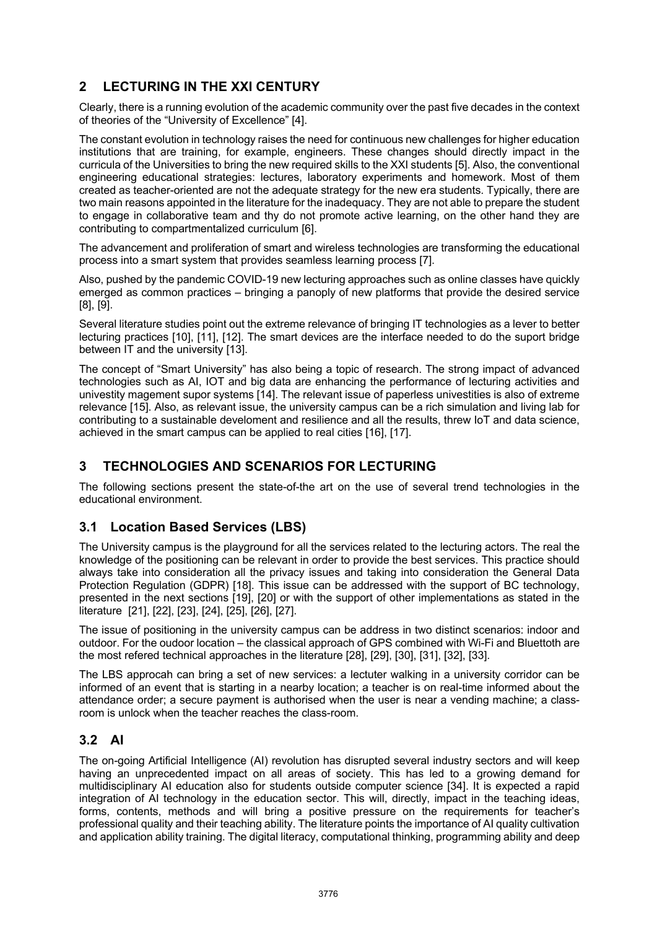# **2 LECTURING IN THE XXI CENTURY**

Clearly, there is a running evolution of the academic community over the past five decades in the context of theories of the "University of Excellence" [4].

The constant evolution in technology raises the need for continuous new challenges for higher education institutions that are training, for example, engineers. These changes should directly impact in the curricula of the Universities to bring the new required skills to the XXI students [5]. Also, the conventional engineering educational strategies: lectures, laboratory experiments and homework. Most of them created as teacher-oriented are not the adequate strategy for the new era students. Typically, there are two main reasons appointed in the literature for the inadequacy. They are not able to prepare the student to engage in collaborative team and thy do not promote active learning, on the other hand they are contributing to compartmentalized curriculum [6].

The advancement and proliferation of smart and wireless technologies are transforming the educational process into a smart system that provides seamless learning process [7].

Also, pushed by the pandemic COVID-19 new lecturing approaches such as online classes have quickly emerged as common practices – bringing a panoply of new platforms that provide the desired service [8], [9].

Several literature studies point out the extreme relevance of bringing IT technologies as a lever to better lecturing practices [10], [11], [12]. The smart devices are the interface needed to do the suport bridge between IT and the university [13].

The concept of "Smart University" has also being a topic of research. The strong impact of advanced technologies such as AI, IOT and big data are enhancing the performance of lecturing activities and univestity magement supor systems [14]. The relevant issue of paperless univestities is also of extreme relevance [15]. Also, as relevant issue, the university campus can be a rich simulation and living lab for contributing to a sustainable develoment and resilience and all the results, threw IoT and data science, achieved in the smart campus can be applied to real cities [16], [17].

# **3 TECHNOLOGIES AND SCENARIOS FOR LECTURING**

The following sections present the state-of-the art on the use of several trend technologies in the educational environment.

# **3.1 Location Based Services (LBS)**

The University campus is the playground for all the services related to the lecturing actors. The real the knowledge of the positioning can be relevant in order to provide the best services. This practice should always take into consideration all the privacy issues and taking into consideration the General Data Protection Regulation (GDPR) [18]. This issue can be addressed with the support of BC technology, presented in the next sections [19], [20] or with the support of other implementations as stated in the literature [21], [22], [23], [24], [25], [26], [27].

The issue of positioning in the university campus can be address in two distinct scenarios: indoor and outdoor. For the oudoor location – the classical approach of GPS combined with Wi-Fi and Bluettoth are the most refered technical approaches in the literature [28], [29], [30], [31], [32], [33].

The LBS approcah can bring a set of new services: a lectuter walking in a university corridor can be informed of an event that is starting in a nearby location; a teacher is on real-time informed about the attendance order; a secure payment is authorised when the user is near a vending machine; a classroom is unlock when the teacher reaches the class-room.

### **3.2 AI**

The on-going Artificial Intelligence (AI) revolution has disrupted several industry sectors and will keep having an unprecedented impact on all areas of society. This has led to a growing demand for multidisciplinary AI education also for students outside computer science [34]. It is expected a rapid integration of AI technology in the education sector. This will, directly, impact in the teaching ideas, forms, contents, methods and will bring a positive pressure on the requirements for teacher's professional quality and their teaching ability. The literature points the importance of AI quality cultivation and application ability training. The digital literacy, computational thinking, programming ability and deep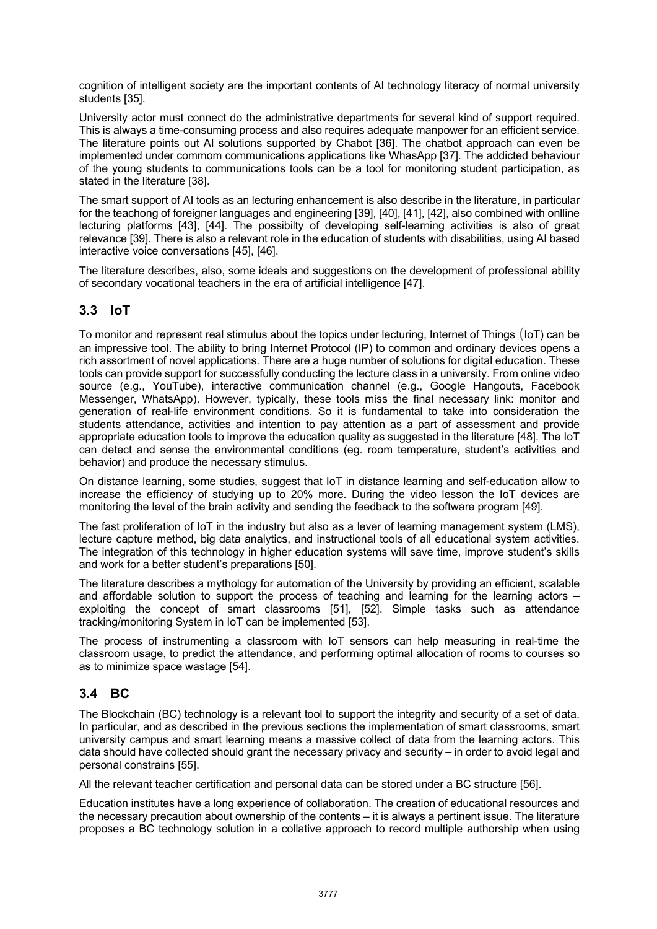cognition of intelligent society are the important contents of AI technology literacy of normal university students [35].

University actor must connect do the administrative departments for several kind of support required. This is always a time-consuming process and also requires adequate manpower for an efficient service. The literature points out AI solutions supported by Chabot [36]. The chatbot approach can even be implemented under commom communications applications like WhasApp [37]. The addicted behaviour of the young students to communications tools can be a tool for monitoring student participation, as stated in the literature [38].

The smart support of AI tools as an lecturing enhancement is also describe in the literature, in particular for the teachong of foreigner languages and engineering [39], [40], [41], [42], also combined with onlline lecturing platforms [43], [44]. The possibilty of developing self-learning activities is also of great relevance [39]. There is also a relevant role in the education of students with disabilities, using AI based interactive voice conversations [45], [46].

The literature describes, also, some ideals and suggestions on the development of professional ability of secondary vocational teachers in the era of artificial intelligence [47].

#### **3.3 IoT**

To monitor and represent real stimulus about the topics under lecturing, Internet of Things (IoT) can be an impressive tool. The ability to bring Internet Protocol (IP) to common and ordinary devices opens a rich assortment of novel applications. There are a huge number of solutions for digital education. These tools can provide support for successfully conducting the lecture class in a university. From online video source (e.g., YouTube), interactive communication channel (e.g., Google Hangouts, Facebook Messenger, WhatsApp). However, typically, these tools miss the final necessary link: monitor and generation of real-life environment conditions. So it is fundamental to take into consideration the students attendance, activities and intention to pay attention as a part of assessment and provide appropriate education tools to improve the education quality as suggested in the literature [48]. The IoT can detect and sense the environmental conditions (eg. room temperature, student's activities and behavior) and produce the necessary stimulus.

On distance learning, some studies, suggest that IoT in distance learning and self-education allow to increase the efficiency of studying up to 20% more. During the video lesson the IoT devices are monitoring the level of the brain activity and sending the feedback to the software program [49].

The fast proliferation of IoT in the industry but also as a lever of learning management system (LMS), lecture capture method, big data analytics, and instructional tools of all educational system activities. The integration of this technology in higher education systems will save time, improve student's skills and work for a better student's preparations [50].

The literature describes a mythology for automation of the University by providing an efficient, scalable and affordable solution to support the process of teaching and learning for the learning actors – exploiting the concept of smart classrooms [51], [52]. Simple tasks such as attendance tracking/monitoring System in IoT can be implemented [53].

The process of instrumenting a classroom with IoT sensors can help measuring in real-time the classroom usage, to predict the attendance, and performing optimal allocation of rooms to courses so as to minimize space wastage [54].

### **3.4 BC**

The Blockchain (BC) technology is a relevant tool to support the integrity and security of a set of data. In particular, and as described in the previous sections the implementation of smart classrooms, smart university campus and smart learning means a massive collect of data from the learning actors. This data should have collected should grant the necessary privacy and security – in order to avoid legal and personal constrains [55].

All the relevant teacher certification and personal data can be stored under a BC structure [56].

Education institutes have a long experience of collaboration. The creation of educational resources and the necessary precaution about ownership of the contents – it is always a pertinent issue. The literature proposes a BC technology solution in a collative approach to record multiple authorship when using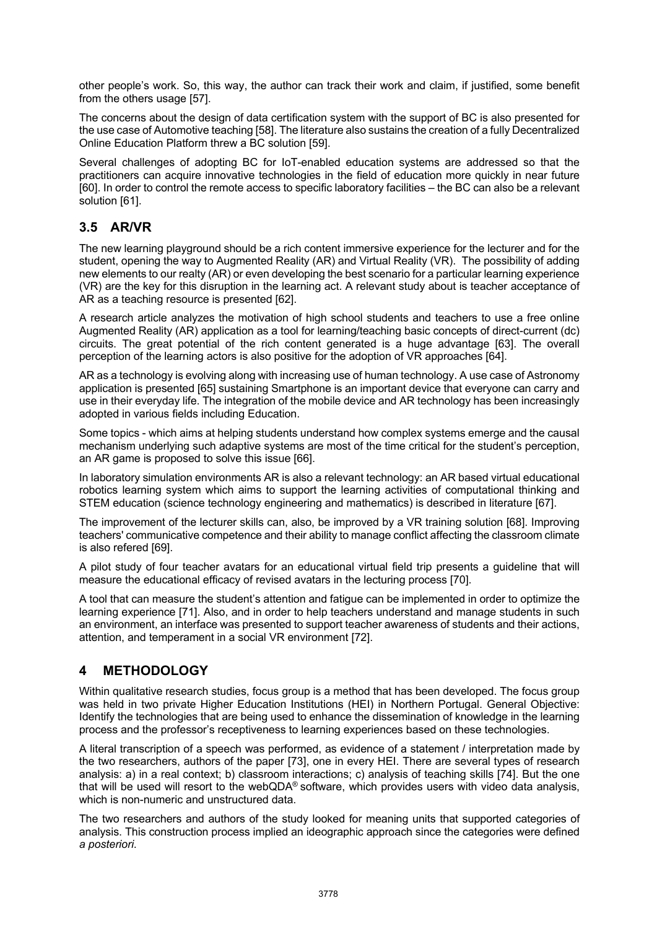other people's work. So, this way, the author can track their work and claim, if justified, some benefit from the others usage [57].

The concerns about the design of data certification system with the support of BC is also presented for the use case of Automotive teaching [58]. The literature also sustains the creation of a fully Decentralized Online Education Platform threw a BC solution [59].

Several challenges of adopting BC for IoT-enabled education systems are addressed so that the practitioners can acquire innovative technologies in the field of education more quickly in near future [60]. In order to control the remote access to specific laboratory facilities – the BC can also be a relevant solution [61].

### **3.5 AR/VR**

The new learning playground should be a rich content immersive experience for the lecturer and for the student, opening the way to Augmented Reality (AR) and Virtual Reality (VR). The possibility of adding new elements to our realty (AR) or even developing the best scenario for a particular learning experience (VR) are the key for this disruption in the learning act. A relevant study about is teacher acceptance of AR as a teaching resource is presented [62].

A research article analyzes the motivation of high school students and teachers to use a free online Augmented Reality (AR) application as a tool for learning/teaching basic concepts of direct-current (dc) circuits. The great potential of the rich content generated is a huge advantage [63]. The overall perception of the learning actors is also positive for the adoption of VR approaches [64].

AR as a technology is evolving along with increasing use of human technology. A use case of Astronomy application is presented [65] sustaining Smartphone is an important device that everyone can carry and use in their everyday life. The integration of the mobile device and AR technology has been increasingly adopted in various fields including Education.

Some topics - which aims at helping students understand how complex systems emerge and the causal mechanism underlying such adaptive systems are most of the time critical for the student's perception, an AR game is proposed to solve this issue [66].

In laboratory simulation environments AR is also a relevant technology: an AR based virtual educational robotics learning system which aims to support the learning activities of computational thinking and STEM education (science technology engineering and mathematics) is described in literature [67].

The improvement of the lecturer skills can, also, be improved by a VR training solution [68]. Improving teachers' communicative competence and their ability to manage conflict affecting the classroom climate is also refered [69].

A pilot study of four teacher avatars for an educational virtual field trip presents a guideline that will measure the educational efficacy of revised avatars in the lecturing process [70].

A tool that can measure the student's attention and fatigue can be implemented in order to optimize the learning experience [71]. Also, and in order to help teachers understand and manage students in such an environment, an interface was presented to support teacher awareness of students and their actions, attention, and temperament in a social VR environment [72].

### **4 METHODOLOGY**

Within qualitative research studies, focus group is a method that has been developed. The focus group was held in two private Higher Education Institutions (HEI) in Northern Portugal. General Objective: Identify the technologies that are being used to enhance the dissemination of knowledge in the learning process and the professor's receptiveness to learning experiences based on these technologies.

A literal transcription of a speech was performed, as evidence of a statement / interpretation made by the two researchers, authors of the paper [73], one in every HEI. There are several types of research analysis: a) in a real context; b) classroom interactions; c) analysis of teaching skills [74]. But the one that will be used will resort to the web $QDA^{\circ}$  software, which provides users with video data analysis, which is non-numeric and unstructured data.

The two researchers and authors of the study looked for meaning units that supported categories of analysis. This construction process implied an ideographic approach since the categories were defined *a posteriori*.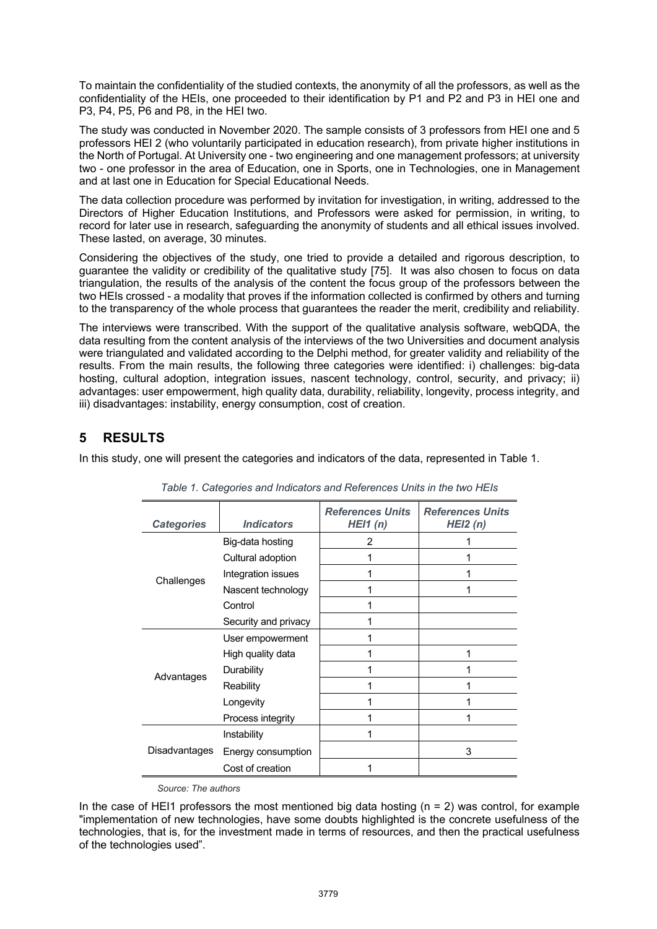To maintain the confidentiality of the studied contexts, the anonymity of all the professors, as well as the confidentiality of the HEIs, one proceeded to their identification by P1 and P2 and P3 in HEI one and P3, P4, P5, P6 and P8, in the HEI two.

The study was conducted in November 2020. The sample consists of 3 professors from HEI one and 5 professors HEI 2 (who voluntarily participated in education research), from private higher institutions in the North of Portugal. At University one - two engineering and one management professors; at university two - one professor in the area of Education, one in Sports, one in Technologies, one in Management and at last one in Education for Special Educational Needs.

The data collection procedure was performed by invitation for investigation, in writing, addressed to the Directors of Higher Education Institutions, and Professors were asked for permission, in writing, to record for later use in research, safeguarding the anonymity of students and all ethical issues involved. These lasted, on average, 30 minutes.

Considering the objectives of the study, one tried to provide a detailed and rigorous description, to guarantee the validity or credibility of the qualitative study [75]. It was also chosen to focus on data triangulation, the results of the analysis of the content the focus group of the professors between the two HEIs crossed - a modality that proves if the information collected is confirmed by others and turning to the transparency of the whole process that guarantees the reader the merit, credibility and reliability.

The interviews were transcribed. With the support of the qualitative analysis software, webQDA, the data resulting from the content analysis of the interviews of the two Universities and document analysis were triangulated and validated according to the Delphi method, for greater validity and reliability of the results. From the main results, the following three categories were identified: i) challenges: big-data hosting, cultural adoption, integration issues, nascent technology, control, security, and privacy; ii) advantages: user empowerment, high quality data, durability, reliability, longevity, process integrity, and iii) disadvantages: instability, energy consumption, cost of creation.

# **5 RESULTS**

In this study, one will present the categories and indicators of the data, represented in Table 1.

| <b>Categories</b> | <b>Indicators</b>    | <b>References Units</b><br>HEI1(n) | <b>References Units</b><br>HEI2(n) |
|-------------------|----------------------|------------------------------------|------------------------------------|
| Challenges        | Big-data hosting     | $\mathcal{P}$                      |                                    |
|                   | Cultural adoption    |                                    |                                    |
|                   | Integration issues   |                                    |                                    |
|                   | Nascent technology   |                                    |                                    |
|                   | Control              |                                    |                                    |
|                   | Security and privacy |                                    |                                    |
| Advantages        | User empowerment     |                                    |                                    |
|                   | High quality data    |                                    |                                    |
|                   | Durability           |                                    |                                    |
|                   | Reability            |                                    |                                    |
|                   | Longevity            |                                    |                                    |
|                   | Process integrity    |                                    |                                    |
| Disadvantages     | Instability          |                                    |                                    |
|                   | Energy consumption   |                                    | 3                                  |
|                   | Cost of creation     |                                    |                                    |

*Table 1. Categories and Indicators and References Units in the two HEIs* 

*Source: The authors*

In the case of HEI1 professors the most mentioned big data hosting  $(n = 2)$  was control, for example "implementation of new technologies, have some doubts highlighted is the concrete usefulness of the technologies, that is, for the investment made in terms of resources, and then the practical usefulness of the technologies used".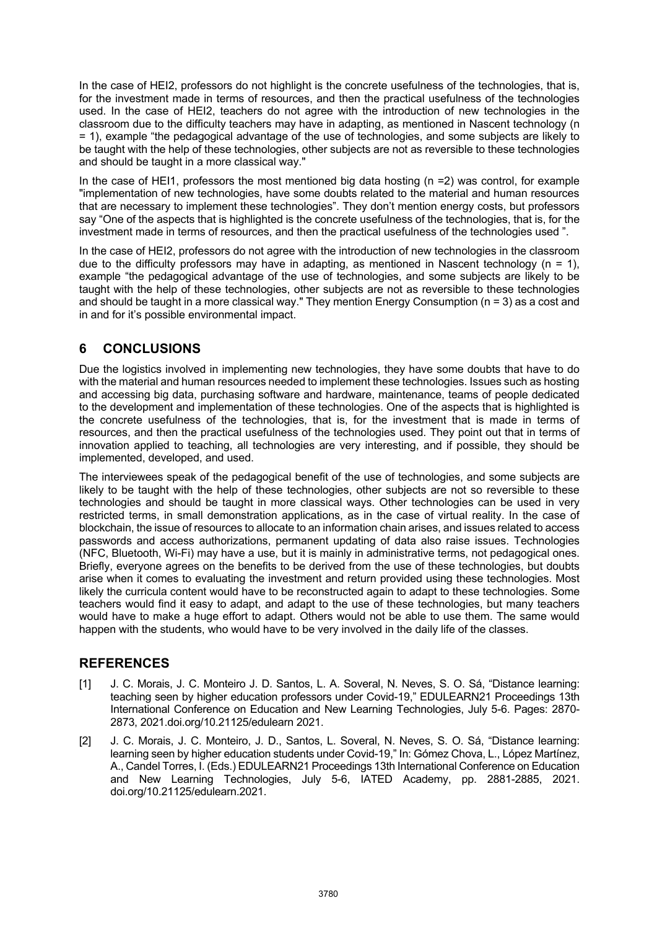In the case of HEI2, professors do not highlight is the concrete usefulness of the technologies, that is, for the investment made in terms of resources, and then the practical usefulness of the technologies used. In the case of HEI2, teachers do not agree with the introduction of new technologies in the classroom due to the difficulty teachers may have in adapting, as mentioned in Nascent technology (n = 1), example "the pedagogical advantage of the use of technologies, and some subjects are likely to be taught with the help of these technologies, other subjects are not as reversible to these technologies and should be taught in a more classical way."

In the case of HEI1, professors the most mentioned big data hosting (n =2) was control, for example "implementation of new technologies, have some doubts related to the material and human resources that are necessary to implement these technologies". They don't mention energy costs, but professors say "One of the aspects that is highlighted is the concrete usefulness of the technologies, that is, for the investment made in terms of resources, and then the practical usefulness of the technologies used ".

In the case of HEI2, professors do not agree with the introduction of new technologies in the classroom due to the difficulty professors may have in adapting, as mentioned in Nascent technology ( $n = 1$ ), example "the pedagogical advantage of the use of technologies, and some subjects are likely to be taught with the help of these technologies, other subjects are not as reversible to these technologies and should be taught in a more classical way." They mention Energy Consumption (n = 3) as a cost and in and for it's possible environmental impact.

# **6 CONCLUSIONS**

Due the logistics involved in implementing new technologies, they have some doubts that have to do with the material and human resources needed to implement these technologies. Issues such as hosting and accessing big data, purchasing software and hardware, maintenance, teams of people dedicated to the development and implementation of these technologies. One of the aspects that is highlighted is the concrete usefulness of the technologies, that is, for the investment that is made in terms of resources, and then the practical usefulness of the technologies used. They point out that in terms of innovation applied to teaching, all technologies are very interesting, and if possible, they should be implemented, developed, and used.

The interviewees speak of the pedagogical benefit of the use of technologies, and some subjects are likely to be taught with the help of these technologies, other subjects are not so reversible to these technologies and should be taught in more classical ways. Other technologies can be used in very restricted terms, in small demonstration applications, as in the case of virtual reality. In the case of blockchain, the issue of resources to allocate to an information chain arises, and issues related to access passwords and access authorizations, permanent updating of data also raise issues. Technologies (NFC, Bluetooth, Wi-Fi) may have a use, but it is mainly in administrative terms, not pedagogical ones. Briefly, everyone agrees on the benefits to be derived from the use of these technologies, but doubts arise when it comes to evaluating the investment and return provided using these technologies. Most likely the curricula content would have to be reconstructed again to adapt to these technologies. Some teachers would find it easy to adapt, and adapt to the use of these technologies, but many teachers would have to make a huge effort to adapt. Others would not be able to use them. The same would happen with the students, who would have to be very involved in the daily life of the classes.

# **REFERENCES**

- [1] J. C. Morais, J. C. Monteiro J. D. Santos, L. A. Soveral, N. Neves, S. O. Sá, "Distance learning: teaching seen by higher education professors under Covid-19," EDULEARN21 Proceedings 13th International Conference on Education and New Learning Technologies, July 5-6. Pages: 2870- 2873, 2021.doi.org/10.21125/edulearn 2021.
- [2] J. C. Morais, J. C. Monteiro, J. D., Santos, L. Soveral, N. Neves, S. O. Sá, "Distance learning: learning seen by higher education students under Covid-19," In: Gómez Chova, L., López Martínez, A., Candel Torres, I. (Eds.) EDULEARN21 Proceedings 13th International Conference on Education and New Learning Technologies, July 5-6, IATED Academy, pp. 2881-2885, 2021. doi.org/10.21125/edulearn.2021.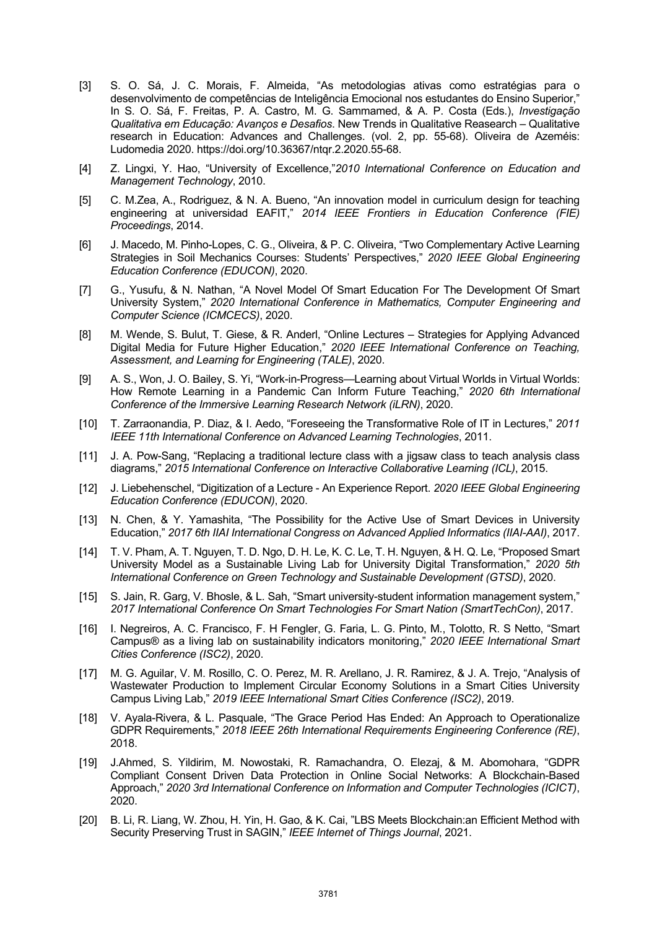- [3] S. O. Sá, J. C. Morais, F. Almeida, "As metodologias ativas como estratégias para o desenvolvimento de competências de Inteligência Emocional nos estudantes do Ensino Superior," In S. O. Sá, F. Freitas, P. A. Castro, M. G. Sammamed, & A. P. Costa (Eds.), *Investigação Qualitativa em Educação: Avanços e Desafios*. New Trends in Qualitative Reasearch – Qualitative research in Education: Advances and Challenges. (vol. 2, pp. 55-68). Oliveira de Azeméis: Ludomedia 2020. https://doi.org/10.36367/ntqr.2.2020.55-68.
- [4] Z. Lingxi, Y. Hao, "University of Excellence,"*2010 International Conference on Education and Management Technology*, 2010.
- [5] C. M.Zea, A., Rodriguez, & N. A. Bueno, "An innovation model in curriculum design for teaching engineering at universidad EAFIT," *2014 IEEE Frontiers in Education Conference (FIE) Proceedings*, 2014.
- [6] J. Macedo, M. Pinho-Lopes, C. G., Oliveira, & P. C. Oliveira, "Two Complementary Active Learning Strategies in Soil Mechanics Courses: Students' Perspectives," *2020 IEEE Global Engineering Education Conference (EDUCON)*, 2020.
- [7] G., Yusufu, & N. Nathan, "A Novel Model Of Smart Education For The Development Of Smart University System," *2020 International Conference in Mathematics, Computer Engineering and Computer Science (ICMCECS)*, 2020.
- [8] M. Wende, S. Bulut, T. Giese, & R. Anderl, "Online Lectures Strategies for Applying Advanced Digital Media for Future Higher Education," *2020 IEEE International Conference on Teaching, Assessment, and Learning for Engineering (TALE)*, 2020.
- [9] A. S., Won, J. O. Bailey, S. Yi, "Work-in-Progress—Learning about Virtual Worlds in Virtual Worlds: How Remote Learning in a Pandemic Can Inform Future Teaching," *2020 6th International Conference of the Immersive Learning Research Network (iLRN)*, 2020.
- [10] T. Zarraonandia, P. Diaz, & I. Aedo, "Foreseeing the Transformative Role of IT in Lectures," *2011 IEEE 11th International Conference on Advanced Learning Technologies*, 2011.
- [11] J. A. Pow-Sang, "Replacing a traditional lecture class with a jigsaw class to teach analysis class diagrams," *2015 International Conference on Interactive Collaborative Learning (ICL)*, 2015.
- [12] J. Liebehenschel, "Digitization of a Lecture An Experience Report. *2020 IEEE Global Engineering Education Conference (EDUCON)*, 2020.
- [13] N. Chen, & Y. Yamashita, "The Possibility for the Active Use of Smart Devices in University Education," *2017 6th IIAI International Congress on Advanced Applied Informatics (IIAI-AAI)*, 2017.
- [14] T. V. Pham, A. T. Nguyen, T. D. Ngo, D. H. Le, K. C. Le, T. H. Nguyen, & H. Q. Le, "Proposed Smart University Model as a Sustainable Living Lab for University Digital Transformation," *2020 5th International Conference on Green Technology and Sustainable Development (GTSD)*, 2020.
- [15] S. Jain, R. Garg, V. Bhosle, & L. Sah, "Smart university-student information management system," *2017 International Conference On Smart Technologies For Smart Nation (SmartTechCon)*, 2017.
- [16] I. Negreiros, A. C. Francisco, F. H Fengler, G. Faria, L. G. Pinto, M., Tolotto, R. S Netto, "Smart Campus® as a living lab on sustainability indicators monitoring," *2020 IEEE International Smart Cities Conference (ISC2)*, 2020.
- [17] M. G. Aguilar, V. M. Rosillo, C. O. Perez, M. R. Arellano, J. R. Ramirez, & J. A. Trejo, "Analysis of Wastewater Production to Implement Circular Economy Solutions in a Smart Cities University Campus Living Lab," *2019 IEEE International Smart Cities Conference (ISC2)*, 2019.
- [18] V. Ayala-Rivera, & L. Pasquale, "The Grace Period Has Ended: An Approach to Operationalize GDPR Requirements," *2018 IEEE 26th International Requirements Engineering Conference (RE)*, 2018.
- [19] J.Ahmed, S. Yildirim, M. Nowostaki, R. Ramachandra, O. Elezaj, & M. Abomohara, "GDPR Compliant Consent Driven Data Protection in Online Social Networks: A Blockchain-Based Approach," *2020 3rd International Conference on Information and Computer Technologies (ICICT)*, 2020.
- [20] B. Li, R. Liang, W. Zhou, H. Yin, H. Gao, & K. Cai, "LBS Meets Blockchain:an Efficient Method with Security Preserving Trust in SAGIN," *IEEE Internet of Things Journal*, 2021.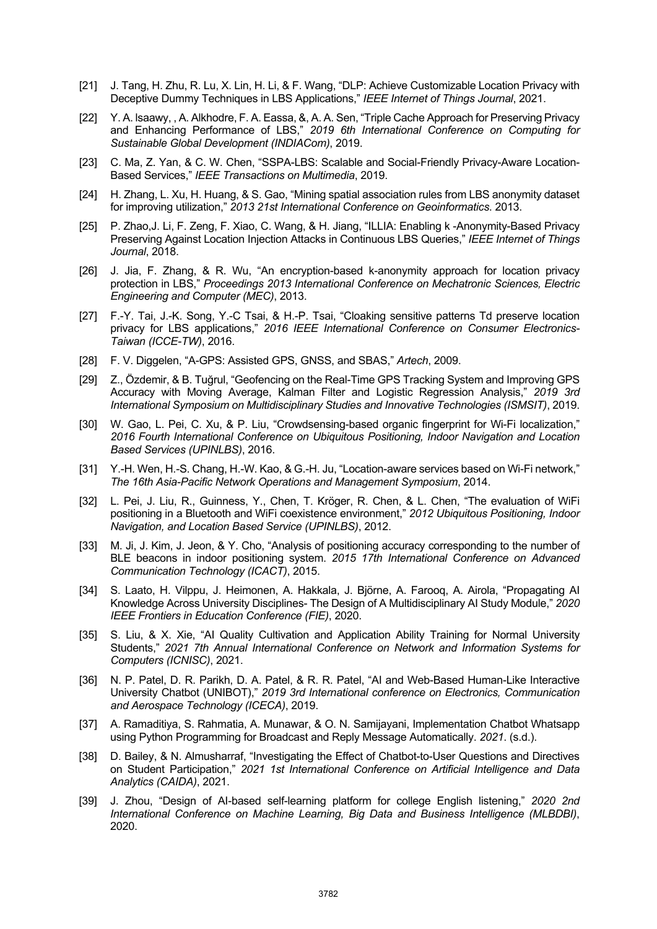- [21] J. Tang, H. Zhu, R. Lu, X. Lin, H. Li, & F. Wang, "DLP: Achieve Customizable Location Privacy with Deceptive Dummy Techniques in LBS Applications," *IEEE Internet of Things Journal*, 2021.
- [22] Y. A. Isaawy, , A. Alkhodre, F. A. Eassa, &, A. A. Sen, "Triple Cache Approach for Preserving Privacy and Enhancing Performance of LBS," *2019 6th International Conference on Computing for Sustainable Global Development (INDIACom)*, 2019.
- [23] C. Ma, Z. Yan, & C. W. Chen, "SSPA-LBS: Scalable and Social-Friendly Privacy-Aware Location-Based Services," *IEEE Transactions on Multimedia*, 2019.
- [24] H. Zhang, L. Xu, H. Huang, & S. Gao, "Mining spatial association rules from LBS anonymity dataset for improving utilization," *2013 21st International Conference on Geoinformatics*. 2013.
- [25] P. Zhao,J. Li, F. Zeng, F. Xiao, C. Wang, & H. Jiang, "ILLIA: Enabling k -Anonymity-Based Privacy Preserving Against Location Injection Attacks in Continuous LBS Queries," *IEEE Internet of Things Journal*, 2018.
- [26] J. Jia, F. Zhang, & R. Wu, "An encryption-based k-anonymity approach for location privacy protection in LBS," *Proceedings 2013 International Conference on Mechatronic Sciences, Electric Engineering and Computer (MEC)*, 2013.
- [27] F.-Y. Tai, J.-K. Song, Y.-C Tsai, & H.-P. Tsai, "Cloaking sensitive patterns Td preserve location privacy for LBS applications," *2016 IEEE International Conference on Consumer Electronics-Taiwan (ICCE-TW)*, 2016.
- [28] F. V. Diggelen, "A-GPS: Assisted GPS, GNSS, and SBAS," *Artech*, 2009.
- [29] Z., Özdemir, & B. Tuğrul, "Geofencing on the Real-Time GPS Tracking System and Improving GPS Accuracy with Moving Average, Kalman Filter and Logistic Regression Analysis," *2019 3rd International Symposium on Multidisciplinary Studies and Innovative Technologies (ISMSIT)*, 2019.
- [30] W. Gao, L. Pei, C. Xu, & P. Liu, "Crowdsensing-based organic fingerprint for Wi-Fi localization," *2016 Fourth International Conference on Ubiquitous Positioning, Indoor Navigation and Location Based Services (UPINLBS)*, 2016.
- [31] Y.-H. Wen, H.-S. Chang, H.-W. Kao, & G.-H. Ju, "Location-aware services based on Wi-Fi network," *The 16th Asia-Pacific Network Operations and Management Symposium*, 2014.
- [32] L. Pei, J. Liu, R., Guinness, Y., Chen, T. Kröger, R. Chen, & L. Chen, "The evaluation of WiFi positioning in a Bluetooth and WiFi coexistence environment," *2012 Ubiquitous Positioning, Indoor Navigation, and Location Based Service (UPINLBS)*, 2012.
- [33] M. Ji, J. Kim, J. Jeon, & Y. Cho, "Analysis of positioning accuracy corresponding to the number of BLE beacons in indoor positioning system. *2015 17th International Conference on Advanced Communication Technology (ICACT)*, 2015.
- [34] S. Laato, H. Vilppu, J. Heimonen, A. Hakkala, J. Björne, A. Farooq, A. Airola, "Propagating AI Knowledge Across University Disciplines- The Design of A Multidisciplinary AI Study Module," *2020 IEEE Frontiers in Education Conference (FIE)*, 2020.
- [35] S. Liu, & X. Xie, "AI Quality Cultivation and Application Ability Training for Normal University Students," *2021 7th Annual International Conference on Network and Information Systems for Computers (ICNISC)*, 2021.
- [36] N. P. Patel, D. R. Parikh, D. A. Patel, & R. R. Patel, "AI and Web-Based Human-Like Interactive University Chatbot (UNIBOT)," *2019 3rd International conference on Electronics, Communication and Aerospace Technology (ICECA)*, 2019.
- [37] A. Ramaditiya, S. Rahmatia, A. Munawar, & O. N. Samijayani, Implementation Chatbot Whatsapp using Python Programming for Broadcast and Reply Message Automatically. *2021*. (s.d.).
- [38] D. Bailey, & N. Almusharraf, "Investigating the Effect of Chatbot-to-User Questions and Directives on Student Participation," *2021 1st International Conference on Artificial Intelligence and Data Analytics (CAIDA)*, 2021.
- [39] J. Zhou, "Design of AI-based self-learning platform for college English listening," *2020 2nd International Conference on Machine Learning, Big Data and Business Intelligence (MLBDBI)*, 2020.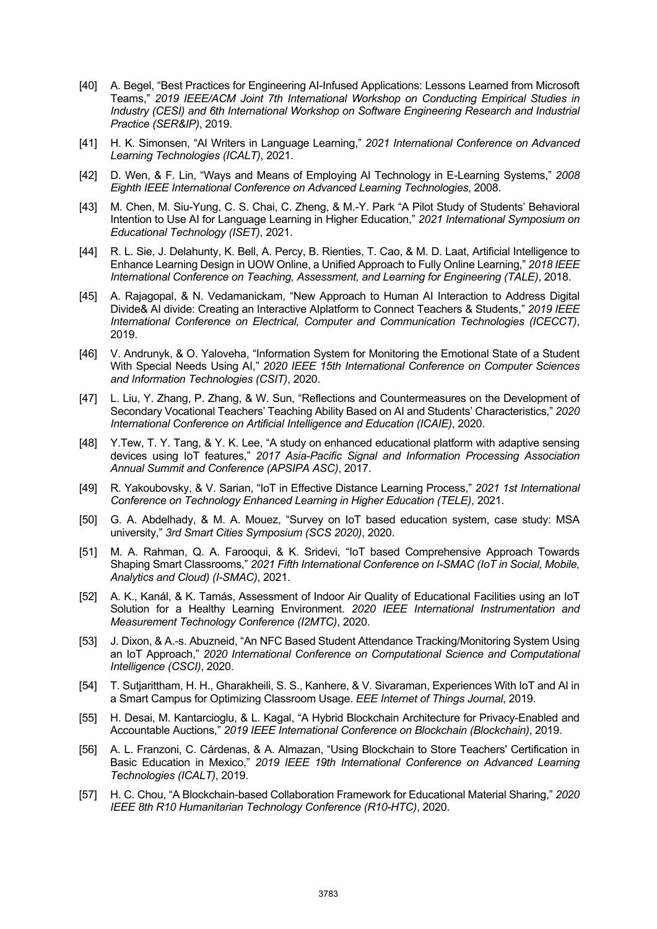- [40] A. Begel, "Best Practices for Engineering AI-Infused Applications: Lessons Learned from Microsoft Teams," *2019 IEEE/ACM Joint 7th International Workshop on Conducting Empirical Studies in Industry (CESI) and 6th International Workshop on Software Engineering Research and Industrial Practice (SER&IP)*, 2019.
- [41] H. K. Simonsen, "AI Writers in Language Learning," *2021 International Conference on Advanced Learning Technologies (ICALT)*, 2021.
- [42] D. Wen, & F. Lin, "Ways and Means of Employing AI Technology in E-Learning Systems," *2008 Eighth IEEE International Conference on Advanced Learning Technologies*, 2008.
- [43] M. Chen, M. Siu-Yung, C. S. Chai, C. Zheng, & M.-Y. Park "A Pilot Study of Students' Behavioral Intention to Use AI for Language Learning in Higher Education," *2021 International Symposium on Educational Technology (ISET)*, 2021.
- [44] R. L. Sie, J. Delahunty, K. Bell, A. Percy, B. Rienties, T. Cao, & M. D. Laat, Artificial Intelligence to Enhance Learning Design in UOW Online, a Unified Approach to Fully Online Learning," *2018 IEEE International Conference on Teaching, Assessment, and Learning for Engineering (TALE)*, 2018.
- [45] A. Rajagopal, & N. Vedamanickam, "New Approach to Human AI Interaction to Address Digital Divide& AI divide: Creating an Interactive AIplatform to Connect Teachers & Students," *2019 IEEE International Conference on Electrical, Computer and Communication Technologies (ICECCT)*, 2019.
- [46] V. Andrunyk, & O. Yaloveha, "Information System for Monitoring the Emotional State of a Student With Special Needs Using AI," *2020 IEEE 15th International Conference on Computer Sciences and Information Technologies (CSIT)*, 2020.
- [47] L. Liu, Y. Zhang, P. Zhang, & W. Sun, "Reflections and Countermeasures on the Development of Secondary Vocational Teachers' Teaching Ability Based on AI and Students' Characteristics," *2020 International Conference on Artificial Intelligence and Education (ICAIE)*, 2020.
- [48] Y.Tew, T. Y. Tang, & Y. K. Lee, "A study on enhanced educational platform with adaptive sensing devices using IoT features," *2017 Asia-Pacific Signal and Information Processing Association Annual Summit and Conference (APSIPA ASC)*, 2017.
- [49] R. Yakoubovsky, & V. Sarian, "IoT in Effective Distance Learning Process," *2021 1st International Conference on Technology Enhanced Learning in Higher Education (TELE)*, 2021.
- [50] G. A. Abdelhady, & M. A. Mouez, "Survey on IoT based education system, case study: MSA university," *3rd Smart Cities Symposium (SCS 2020)*, 2020.
- [51] M. A. Rahman, Q. A. Farooqui, & K. Sridevi, "IoT based Comprehensive Approach Towards Shaping Smart Classrooms," *2021 Fifth International Conference on I-SMAC (IoT in Social, Mobile, Analytics and Cloud) (I-SMAC)*, 2021.
- [52] A. K., Kanál, & K. Tamás, Assessment of Indoor Air Quality of Educational Facilities using an IoT Solution for a Healthy Learning Environment. *2020 IEEE International Instrumentation and Measurement Technology Conference (I2MTC)*, 2020.
- [53] J. Dixon, & A.-s. Abuzneid, "An NFC Based Student Attendance Tracking/Monitoring System Using an IoT Approach," *2020 International Conference on Computational Science and Computational Intelligence (CSCI)*, 2020.
- [54] T. Sutjarittham, H. H., Gharakheili, S. S., Kanhere, & V. Sivaraman, Experiences With IoT and AI in a Smart Campus for Optimizing Classroom Usage. *EEE Internet of Things Journal*, 2019.
- [55] H. Desai, M. Kantarcioglu, & L. Kagal, "A Hybrid Blockchain Architecture for Privacy-Enabled and Accountable Auctions," *2019 IEEE International Conference on Blockchain (Blockchain)*, 2019.
- [56] A. L. Franzoni, C. Cárdenas, & A. Almazan, "Using Blockchain to Store Teachers' Certification in Basic Education in Mexico," *2019 IEEE 19th International Conference on Advanced Learning Technologies (ICALT)*, 2019.
- [57] H. C. Chou, "A Blockchain-based Collaboration Framework for Educational Material Sharing," *2020 IEEE 8th R10 Humanitarian Technology Conference (R10-HTC)*, 2020.